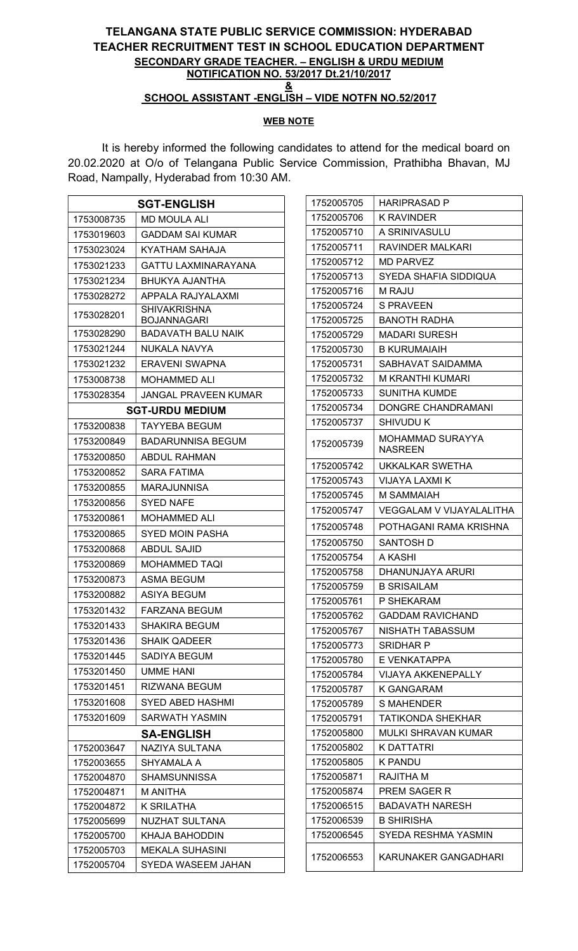## TELANGANA STATE PUBLIC SERVICE COMMISSION: HYDERABAD TEACHER RECRUITMENT TEST IN SCHOOL EDUCATION DEPARTMENT SECONDARY GRADE TEACHER. – ENGLISH & URDU MEDIUM NOTIFICATION NO. 53/2017 Dt.21/10/2017 & SCHOOL ASSISTANT -ENGLISH – VIDE NOTFN NO.52/2017

## WEB NOTE

It is hereby informed the following candidates to attend for the medical board on 20.02.2020 at O/o of Telangana Public Service Commission, Prathibha Bhavan, MJ Road, Nampally, Hyderabad from 10:30 AM.

| <b>SGT-ENGLISH</b>       |                                     |  |
|--------------------------|-------------------------------------|--|
| 1753008735               | MD MOULA ALI                        |  |
| 1753019603               | GADDAM SAI KUMAR                    |  |
| 1753023024               | KYATHAM SAHAJA                      |  |
| 1753021233               | GATTU LAXMINARAYANA                 |  |
| 1753021234               | BHUKYA AJANTHA                      |  |
| 1753028272               | APPALA RAJYALAXMI                   |  |
| 1753028201               | SHIVAKRISHNA<br>BOJANNAGARI         |  |
| 1753028290               | BADAVATH BALU NAIK                  |  |
| 1753021244               | NUKALA NAVYA                        |  |
| 1753021232               | ERAVENI SWAPNA                      |  |
| 1753008738               | <b>MOHAMMED ALI</b>                 |  |
| 1753028354               | JANGAL PRAVEEN KUMAR                |  |
| <b>SGT-URDU MEDIUM</b>   |                                     |  |
| 1753200838               | TAYYEBA BEGUM                       |  |
| 1753200849               | <b>BADARUNNISA BEGUM</b>            |  |
| 1753200850               | ABDUL RAHMAN                        |  |
| 1753200852               | SARA FATIMA                         |  |
| 1753200855               | MARAJUNNISA                         |  |
| 1753200856               | SYED NAFE                           |  |
| 1753200861               | MOHAMMED ALI                        |  |
| 1753200865               | SYED MOIN PASHA                     |  |
| 1753200868               | ABDUL SAJID                         |  |
| 1753200869               | MOHAMMED TAQI                       |  |
| 1753200873               | ASMA BEGUM                          |  |
| 1753200882               | ASIYA BEGUM                         |  |
| 1753201432               | FARZANA BEGUM                       |  |
| 1753201433               | <b>SHAKIRA BEGUM</b>                |  |
| 1753201436               | <b>SHAIK QADEER</b>                 |  |
| 1753201445               | SADIYA BEGUM                        |  |
| 1753201450               | UMME HANI                           |  |
| 1753201451               | RIZWANA BEGUM                       |  |
| 1753201608               | SYED ABED HASHMI                    |  |
| 1753201609               | SARWATH YASMIN                      |  |
|                          | <b>SA-ENGLISH</b>                   |  |
| 1752003647               | NAZIYA SULTANA                      |  |
| 1752003655               | SHYAMALA A                          |  |
| 1752004870               | <b>SHAMSUNNISSA</b>                 |  |
| 1752004871               | M ANITHA                            |  |
| 1752004872               | K SRILATHA<br><b>NUZHAT SULTANA</b> |  |
| 1752005699<br>1752005700 | KHAJA BAHODDIN                      |  |
| 1752005703               | MEKALA SUHASINI                     |  |
| 1752005704               | SYEDA WASEEM JAHAN                  |  |
|                          |                                     |  |

| 1752005705 | <b>HARIPRASAD P</b>         |
|------------|-----------------------------|
| 1752005706 | K RAVINDER                  |
| 1752005710 | A SRINIVASULU               |
| 1752005711 | RAVINDER MALKARI            |
| 1752005712 | <b>MD PARVEZ</b>            |
| 1752005713 | SYEDA SHAFIA SIDDIQUA       |
| 1752005716 | M RAJU                      |
| 1752005724 | S PRAVEEN                   |
| 1752005725 | <b>BANOTH RADHA</b>         |
| 1752005729 | MADARI SURESH               |
| 1752005730 | <b>B KURUMAIAIH</b>         |
| 1752005731 | SABHAVAT SAIDAMMA           |
| 1752005732 | M KRANTHI KUMARI            |
| 1752005733 | SUNITHA KUMDE               |
| 1752005734 | DONGRE CHANDRAMANI          |
| 1752005737 | SHIVUDU K                   |
| 1752005739 | MOHAMMAD SURAYYA<br>NASREEN |
| 1752005742 | UKKALKAR SWETHA             |
| 1752005743 | VIJAYA LAXMI K              |
| 1752005745 | M SAMMAIAH                  |
| 1752005747 | VEGGALAM V VIJAYALALITHA    |
| 1752005748 | POTHAGANI RAMA KRISHNA      |
| 1752005750 | SANTOSH D                   |
| 1752005754 | A KASHI                     |
| 1752005758 | DHANUNJAYA ARURI            |
| 1752005759 | B SRISAILAM                 |
| 1752005761 | P SHEKARAM                  |
| 1752005762 | <b>GADDAM RAVICHAND</b>     |
| 1752005767 | NISHATH TABASSUM            |
| 1752005773 | SRIDHAR P                   |
| 1752005780 | E VENKATAPPA                |
| 1752005784 | VIJAYA AKKENEPALLY          |
| 1752005787 | K GANGARAM                  |
| 1752005789 | S MAHENDER                  |
| 1752005791 | TATIKONDA SHEKHAR           |
| 1752005800 | MULKI SHRAVAN KUMAR         |
| 1752005802 | K DATTATRI                  |
| 1752005805 | K PANDU                     |
| 1752005871 | RAJITHA M                   |
| 1752005874 | PREM SAGER R                |
| 1752006515 | BADAVATH NARESH             |
| 1752006539 | B SHIRISHA                  |
| 1752006545 | SYEDA RESHMA YASMIN         |
| 1752006553 | KARUNAKER GANGADHARI        |